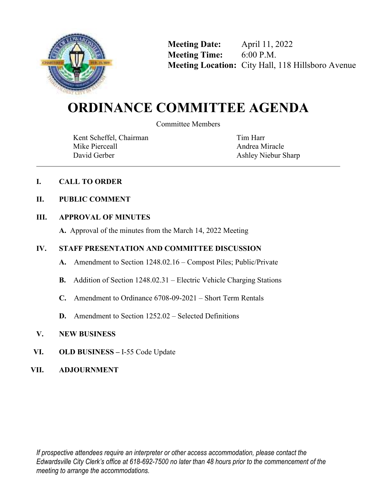

**Meeting Date:** April 11, 2022 **Meeting Time:** 6:00 P.M. **Meeting Location:** City Hall, 118 Hillsboro Avenue

# **ORDINANCE COMMITTEE AGENDA**

Committee Members

Kent Scheffel, Chairman Mike Pierceall David Gerber

Tim Harr Andrea Miracle Ashley Niebur Sharp

# **I. CALL TO ORDER**

# **II. PUBLIC COMMENT**

# **III. APPROVAL OF MINUTES**

**A.** Approval of the minutes from the March 14, 2022 Meeting

# **IV. STAFF PRESENTATION AND COMMITTEE DISCUSSION**

- **A.** Amendment to Section 1248.02.16 Compost Piles; Public/Private
- **B.** Addition of Section 1248.02.31 Electric Vehicle Charging Stations
- **C.** Amendment to Ordinance 6708-09-2021 Short Term Rentals
- **D.** Amendment to Section 1252.02 Selected Definitions
- **V. NEW BUSINESS**
- **VI. OLD BUSINESS** I-55 Code Update
- **VII. ADJOURNMENT**

*If prospective attendees require an interpreter or other access accommodation, please contact the Edwardsville City Clerk's office at 618-692-7500 no later than 48 hours prior to the commencement of the meeting to arrange the accommodations.*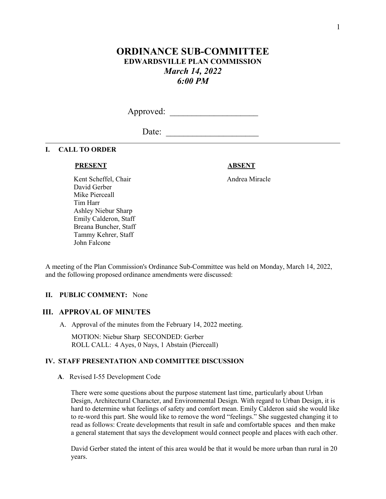# **ORDINANCE SUB-COMMITTEE EDWARDSVILLE PLAN COMMISSION**  *March 14, 2022 6:00 PM*

Approved: \_\_\_\_\_\_\_\_\_\_\_\_\_\_\_\_\_\_\_\_

Date: \_\_\_\_\_\_\_\_\_\_\_\_\_\_\_\_\_\_\_\_\_

# **I. CALL TO ORDER**

# **PRESENT ABSENT**

Kent Scheffel, Chair Andrea Miracle David Gerber Mike Pierceall Tim Harr Ashley Niebur Sharp Emily Calderon, Staff Breana Buncher, Staff Tammy Kehrer, Staff John Falcone

A meeting of the Plan Commission's Ordinance Sub-Committee was held on Monday, March 14, 2022, and the following proposed ordinance amendments were discussed:

# **II. PUBLIC COMMENT:** None

# **III. APPROVAL OF MINUTES**

A. Approval of the minutes from the February 14, 2022 meeting.

 MOTION: Niebur Sharp SECONDED: Gerber ROLL CALL: 4 Ayes, 0 Nays, 1 Abstain (Pierceall)

# **IV. STAFF PRESENTATION AND COMMITTEE DISCUSSION**

 **A**. Revised I-55 Development Code

 There were some questions about the purpose statement last time, particularly about Urban Design, Architectural Character, and Environmental Design. With regard to Urban Design, it is hard to determine what feelings of safety and comfort mean. Emily Calderon said she would like to re-word this part. She would like to remove the word "feelings." She suggested changing it to read as follows: Create developments that result in safe and comfortable spaces and then make a general statement that says the development would connect people and places with each other.

 David Gerber stated the intent of this area would be that it would be more urban than rural in 20 years.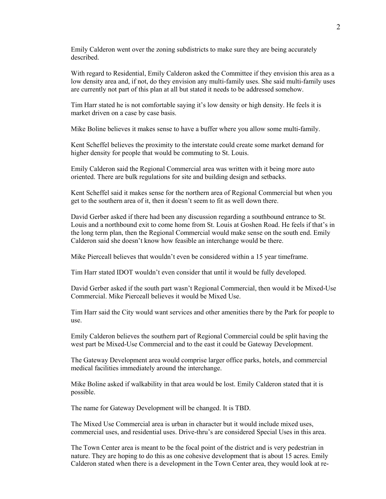Emily Calderon went over the zoning subdistricts to make sure they are being accurately described.

 With regard to Residential, Emily Calderon asked the Committee if they envision this area as a low density area and, if not, do they envision any multi-family uses. She said multi-family uses are currently not part of this plan at all but stated it needs to be addressed somehow.

 Tim Harr stated he is not comfortable saying it's low density or high density. He feels it is market driven on a case by case basis.

Mike Boline believes it makes sense to have a buffer where you allow some multi-family.

 Kent Scheffel believes the proximity to the interstate could create some market demand for higher density for people that would be commuting to St. Louis.

 Emily Calderon said the Regional Commercial area was written with it being more auto oriented. There are bulk regulations for site and building design and setbacks.

 Kent Scheffel said it makes sense for the northern area of Regional Commercial but when you get to the southern area of it, then it doesn't seem to fit as well down there.

 David Gerber asked if there had been any discussion regarding a southbound entrance to St. Louis and a northbound exit to come home from St. Louis at Goshen Road. He feels if that's in the long term plan, then the Regional Commercial would make sense on the south end. Emily Calderon said she doesn't know how feasible an interchange would be there.

Mike Pierceall believes that wouldn't even be considered within a 15 year timeframe.

Tim Harr stated IDOT wouldn't even consider that until it would be fully developed.

 David Gerber asked if the south part wasn't Regional Commercial, then would it be Mixed-Use Commercial. Mike Pierceall believes it would be Mixed Use.

 Tim Harr said the City would want services and other amenities there by the Park for people to use.

 Emily Calderon believes the southern part of Regional Commercial could be split having the west part be Mixed-Use Commercial and to the east it could be Gateway Development.

 The Gateway Development area would comprise larger office parks, hotels, and commercial medical facilities immediately around the interchange.

 Mike Boline asked if walkability in that area would be lost. Emily Calderon stated that it is possible.

The name for Gateway Development will be changed. It is TBD.

 The Mixed Use Commercial area is urban in character but it would include mixed uses, commercial uses, and residential uses. Drive-thru's are considered Special Uses in this area.

 The Town Center area is meant to be the focal point of the district and is very pedestrian in nature. They are hoping to do this as one cohesive development that is about 15 acres. Emily Calderon stated when there is a development in the Town Center area, they would look at re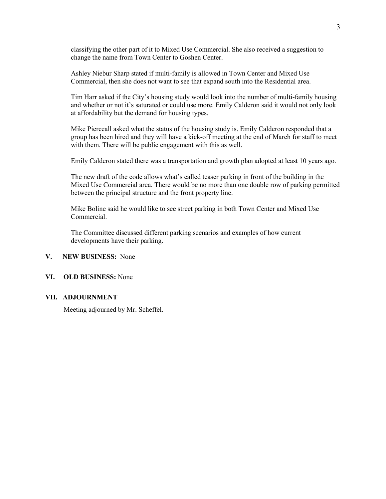classifying the other part of it to Mixed Use Commercial. She also received a suggestion to change the name from Town Center to Goshen Center.

 Ashley Niebur Sharp stated if multi-family is allowed in Town Center and Mixed Use Commercial, then she does not want to see that expand south into the Residential area.

 Tim Harr asked if the City's housing study would look into the number of multi-family housing and whether or not it's saturated or could use more. Emily Calderon said it would not only look at affordability but the demand for housing types.

 Mike Pierceall asked what the status of the housing study is. Emily Calderon responded that a group has been hired and they will have a kick-off meeting at the end of March for staff to meet with them. There will be public engagement with this as well.

Emily Calderon stated there was a transportation and growth plan adopted at least 10 years ago.

 The new draft of the code allows what's called teaser parking in front of the building in the Mixed Use Commercial area. There would be no more than one double row of parking permitted between the principal structure and the front property line.

 Mike Boline said he would like to see street parking in both Town Center and Mixed Use Commercial.

 The Committee discussed different parking scenarios and examples of how current developments have their parking.

# **V. NEW BUSINESS:** None

# **VI. OLD BUSINESS:** None

# **VII. ADJOURNMENT**

Meeting adjourned by Mr. Scheffel.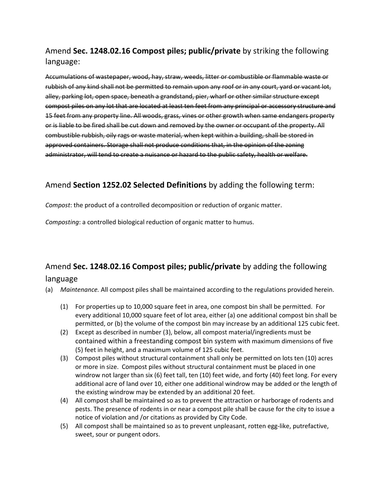# Amend **Sec. 1248.02.16 Compost piles; public/private** by striking the following language:

Accumulations of wastepaper, wood, hay, straw, weeds, litter or combustible or flammable waste or rubbish of any kind shall not be permitted to remain upon any roof or in any court, yard or vacant lot, alley, parking lot, open space, beneath a grandstand, pier, wharf or other similar structure except compost piles on any lot that are located at least ten feet from any principal or accessory structure and 15 feet from any property line. All woods, grass, vines or other growth when same endangers property or is liable to be fired shall be cut down and removed by the owner or occupant of the property. All combustible rubbish, oily rags or waste material, when kept within a building, shall be stored in approved containers. Storage shall not produce conditions that, in the opinion of the zoning administrator, will tend to create a nuisance or hazard to the public safety, health or welfare.

# Amend **Section 1252.02 Selected Definitions** by adding the following term:

*Compost*: the product of a controlled decomposition or reduction of organic matter.

*Composting*: a controlled biological reduction of organic matter to humus.

# Amend **Sec. 1248.02.16 Compost piles; public/private** by adding the following language

- (a) *Maintenance.* All compost piles shall be maintained according to the regulations provided herein.
	- (1) For properties up to 10,000 square feet in area, one compost bin shall be permitted. For every additional 10,000 square feet of lot area, either (a) one additional compost bin shall be permitted, or (b) the volume of the compost bin may increase by an additional 125 cubic feet.
	- (2) Except as described in number (3), below, all compost material/ingredients must be contained within a freestanding compost bin system with maximum dimensions of five (5) feet in height, and a maximum volume of 125 cubic feet.
	- (3) Compost piles without structural containment shall only be permitted on lots ten (10) acres or more in size. Compost piles without structural containment must be placed in one windrow not larger than six (6) feet tall, ten (10) feet wide, and forty (40) feet long. For every additional acre of land over 10, either one additional windrow may be added or the length of the existing windrow may be extended by an additional 20 feet.
	- (4) All compost shall be maintained so as to prevent the attraction or harborage of rodents and pests. The presence of rodents in or near a compost pile shall be cause for the city to issue a notice of violation and /or citations as provided by City Code.
	- (5) All compost shall be maintained so as to prevent unpleasant, rotten egg-like, putrefactive, sweet, sour or pungent odors.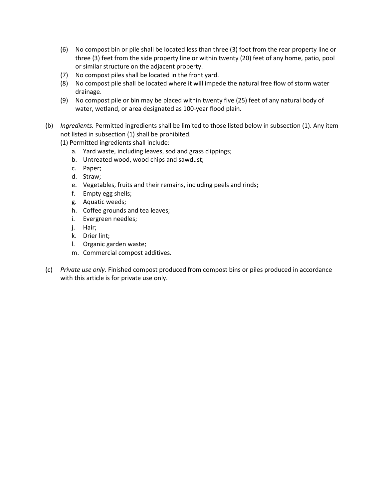- (6) No compost bin or pile shall be located less than three (3) foot from the rear property line or three (3) feet from the side property line or within twenty (20) feet of any home, patio, pool or similar structure on the adjacent property.
- (7) No compost piles shall be located in the front yard.
- (8) No compost pile shall be located where it will impede the natural free flow of storm water drainage.
- (9) No compost pile or bin may be placed within twenty five (25) feet of any natural body of water, wetland, or area designated as 100-year flood plain.
- (b) *Ingredients.* Permitted ingredients shall be limited to those listed below in subsection (1). Any item not listed in subsection (1) shall be prohibited.
	- (1) Permitted ingredients shall include:
		- a. Yard waste, including leaves, sod and grass clippings;
		- b. Untreated wood, wood chips and sawdust;
		- c. Paper;
		- d. Straw;
		- e. Vegetables, fruits and their remains, including peels and rinds;
		- f. Empty egg shells;
		- g. Aquatic weeds;
		- h. Coffee grounds and tea leaves;
		- i. Evergreen needles;
		- j. Hair;
		- k. Drier lint;
		- l. Organic garden waste;
		- m. Commercial compost additives.
- (c) *Private use only.* Finished compost produced from compost bins or piles produced in accordance with this article is for private use only.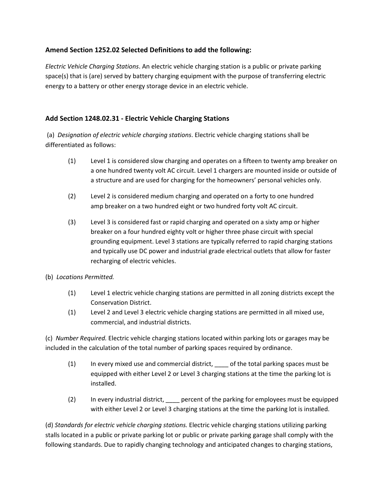# **Amend Section 1252.02 Selected Definitions to add the following:**

*Electric Vehicle Charging Stations*. An electric vehicle charging station is a public or private parking space(s) that is (are) served by battery charging equipment with the purpose of transferring electric energy to a battery or other energy storage device in an electric vehicle.

# **Add Section 1248.02.31 - Electric Vehicle Charging Stations**

 (a) *Designation of electric vehicle charging stations*. Electric vehicle charging stations shall be differentiated as follows:

- (1) Level 1 is considered slow charging and operates on a fifteen to twenty amp breaker on a one hundred twenty volt AC circuit. Level 1 chargers are mounted inside or outside of a structure and are used for charging for the homeowners' personal vehicles only.
- (2) Level 2 is considered medium charging and operated on a forty to one hundred amp breaker on a two hundred eight or two hundred forty volt AC circuit.
- (3) Level 3 is considered fast or rapid charging and operated on a sixty amp or higher breaker on a four hundred eighty volt or higher three phase circuit with special grounding equipment. Level 3 stations are typically referred to rapid charging stations and typically use DC power and industrial grade electrical outlets that allow for faster recharging of electric vehicles.
- (b) *Locations Permitted.*
	- (1) Level 1 electric vehicle charging stations are permitted in all zoning districts except the Conservation District.
	- (1) Level 2 and Level 3 electric vehicle charging stations are permitted in all mixed use, commercial, and industrial districts.

(c) *Number Required.* Electric vehicle charging stations located within parking lots or garages may be included in the calculation of the total number of parking spaces required by ordinance.

- (1) In every mixed use and commercial district, \_\_\_\_ of the total parking spaces must be equipped with either Level 2 or Level 3 charging stations at the time the parking lot is installed.
- (2) In every industrial district, \_\_\_\_ percent of the parking for employees must be equipped with either Level 2 or Level 3 charging stations at the time the parking lot is installed.

(d) *Standards for electric vehicle charging stations.* Electric vehicle charging stations utilizing parking stalls located in a public or private parking lot or public or private parking garage shall comply with the following standards. Due to rapidly changing technology and anticipated changes to charging stations,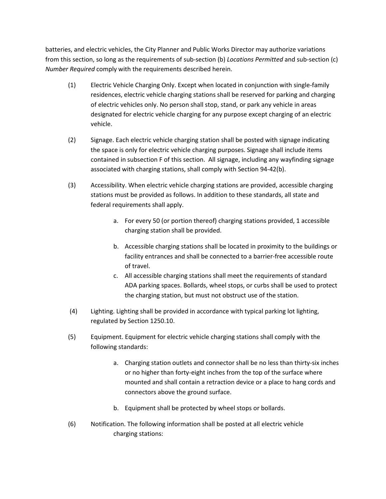batteries, and electric vehicles, the City Planner and Public Works Director may authorize variations from this section, so long as the requirements of sub-section (b) *Locations Permitted* and sub-section (c) *Number Required* comply with the requirements described herein.

- (1) Electric Vehicle Charging Only. Except when located in conjunction with single-family residences, electric vehicle charging stations shall be reserved for parking and charging of electric vehicles only. No person shall stop, stand, or park any vehicle in areas designated for electric vehicle charging for any purpose except charging of an electric vehicle.
- (2) Signage. Each electric vehicle charging station shall be posted with signage indicating the space is only for electric vehicle charging purposes. Signage shall include items contained in subsection F of this section. All signage, including any wayfinding signage associated with charging stations, shall comply with Section 94-42(b).
- (3) Accessibility. When electric vehicle charging stations are provided, accessible charging stations must be provided as follows. In addition to these standards, all state and federal requirements shall apply.
	- a. For every 50 (or portion thereof) charging stations provided, 1 accessible charging station shall be provided.
	- b. Accessible charging stations shall be located in proximity to the buildings or facility entrances and shall be connected to a barrier-free accessible route of travel.
	- c. All accessible charging stations shall meet the requirements of standard ADA parking spaces. Bollards, wheel stops, or curbs shall be used to protect the charging station, but must not obstruct use of the station.
- (4) Lighting. Lighting shall be provided in accordance with typical parking lot lighting, regulated by Section 1250.10.
- (5) Equipment. Equipment for electric vehicle charging stations shall comply with the following standards:
	- a. Charging station outlets and connector shall be no less than thirty-six inches or no higher than forty-eight inches from the top of the surface where mounted and shall contain a retraction device or a place to hang cords and connectors above the ground surface.
	- b. Equipment shall be protected by wheel stops or bollards.
- (6) Notification. The following information shall be posted at all electric vehicle charging stations: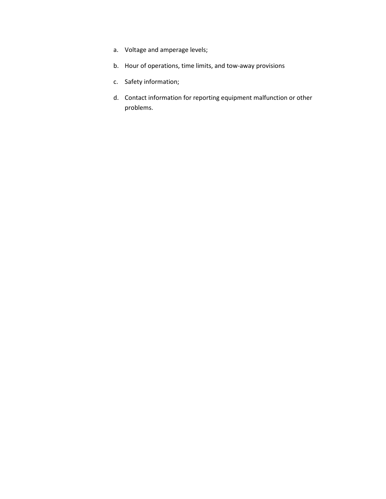- a. Voltage and amperage levels;
- b. Hour of operations, time limits, and tow-away provisions
- c. Safety information;
- d. Contact information for reporting equipment malfunction or other problems.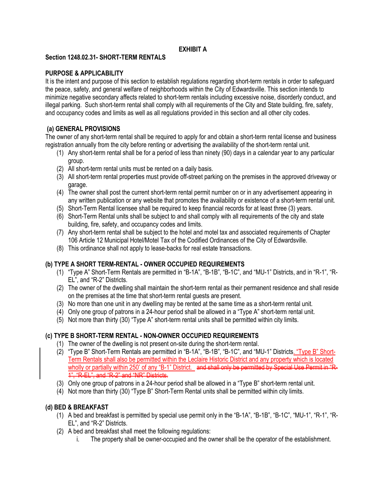# **EXHIBIT A**

# **Section 1248.02.31- SHORT-TERM RENTALS**

# **PURPOSE & APPLICABILITY**

It is the intent and purpose of this section to establish regulations regarding short-term rentals in order to safeguard the peace, safety, and general welfare of neighborhoods within the City of Edwardsville. This section intends to minimize negative secondary affects related to short-term rentals including excessive noise, disorderly conduct, and illegal parking. Such short-term rental shall comply with all requirements of the City and State building, fire, safety, and occupancy codes and limits as well as all regulations provided in this section and all other city codes.

# **(a) GENERAL PROVISIONS**

The owner of any short-term rental shall be required to apply for and obtain a short-term rental license and business registration annually from the city before renting or advertising the availability of the short-term rental unit.

- (1) Any short-term rental shall be for a period of less than ninety (90) days in a calendar year to any particular group.
- (2) All short-term rental units must be rented on a daily basis.
- (3) All short-term rental properties must provide off-street parking on the premises in the approved driveway or garage.
- (4) The owner shall post the current short-term rental permit number on or in any advertisement appearing in any written publication or any website that promotes the availability or existence of a short-term rental unit.
- (5) Short-Term Rental licensee shall be required to keep financial records for at least three (3) years.
- (6) Short-Term Rental units shall be subject to and shall comply with all requirements of the city and state building, fire, safety, and occupancy codes and limits.
- (7) Any short-term rental shall be subject to the hotel and motel tax and associated requirements of Chapter 106 Article 12 Municipal Hotel/Motel Tax of the Codified Ordinances of the City of Edwardsville.
- (8) This ordinance shall not apply to lease-backs for real estate transactions.

# **(b) TYPE A SHORT TERM-RENTAL - OWNER OCCUPIED REQUIREMENTS**

- (1) "Type A" Short-Term Rentals are permitted in "B-1A", "B-1B", "B-1C", and "MU-1" Districts, and in "R-1", "R-EL", and "R-2" Districts.
- (2) The owner of the dwelling shall maintain the short-term rental as their permanent residence and shall reside on the premises at the time that short-term rental guests are present.
- (3) No more than one unit in any dwelling may be rented at the same time as a short-term rental unit.
- (4) Only one group of patrons in a 24-hour period shall be allowed in a "Type A" short-term rental unit.
- (5) Not more than thirty (30) "Type A" short-term rental units shall be permitted within city limits.

# **(c) TYPE B SHORT-TERM RENTAL - NON-OWNER OCCUPIED REQUIREMENTS**

- (1) The owner of the dwelling is not present on-site during the short-term rental.
- (2) "Type B" Short-Term Rentals are permitted in "B-1A", "B-1B", "B-1C", and "MU-1" Districts. "Type B" Short-Term Rentals shall also be permitted within the Leclaire Historic District and any property which is located wholly or partially within 250' of any "B-1" District. and shall only be permitted by Special Use Permit in "R-1", "R-EL", and "R-2" and "NR" Districts.
- (3) Only one group of patrons in a 24-hour period shall be allowed in a "Type B" short-term rental unit.
- (4) Not more than thirty (30) "Type B" Short-Term Rental units shall be permitted within city limits.

# **(d) BED & BREAKFAST**

- (1) A bed and breakfast is permitted by special use permit only in the "B-1A", "B-1B", "B-1C", "MU-1", "R-1", "R-EL", and "R-2" Districts.
- (2) A bed and breakfast shall meet the following regulations:
	- i. The property shall be owner-occupied and the owner shall be the operator of the establishment.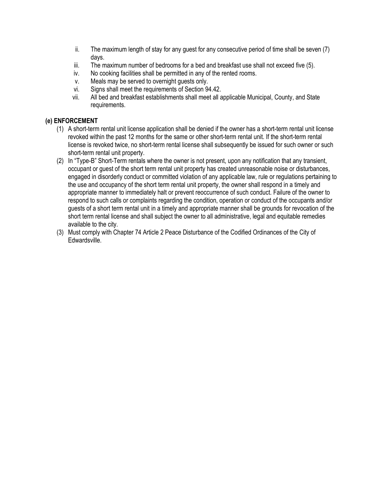- ii. The maximum length of stay for any guest for any consecutive period of time shall be seven (7) days.
- iii. The maximum number of bedrooms for a bed and breakfast use shall not exceed five (5).
- iv. No cooking facilities shall be permitted in any of the rented rooms.
- v. Meals may be served to overnight guests only.
- vi. Signs shall meet the requirements of Section 94.42.
- vii. All bed and breakfast establishments shall meet all applicable Municipal, County, and State requirements.

# **(e) ENFORCEMENT**

- (1) A short-term rental unit license application shall be denied if the owner has a short-term rental unit license revoked within the past 12 months for the same or other short-term rental unit. If the short-term rental license is revoked twice, no short-term rental license shall subsequently be issued for such owner or such short-term rental unit property.
- (2) In "Type-B" Short-Term rentals where the owner is not present, upon any notification that any transient, occupant or guest of the short term rental unit property has created unreasonable noise or disturbances, engaged in disorderly conduct or committed violation of any applicable law, rule or regulations pertaining to the use and occupancy of the short term rental unit property, the owner shall respond in a timely and appropriate manner to immediately halt or prevent reoccurrence of such conduct. Failure of the owner to respond to such calls or complaints regarding the condition, operation or conduct of the occupants and/or guests of a short term rental unit in a timely and appropriate manner shall be grounds for revocation of the short term rental license and shall subject the owner to all administrative, legal and equitable remedies available to the city.
- (3) Must comply with Chapter 74 Article 2 Peace Disturbance of the Codified Ordinances of the City of Edwardsville.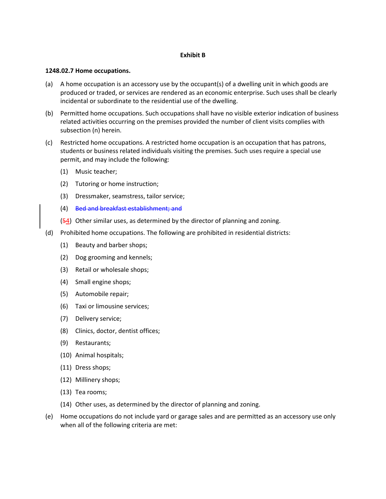# **Exhibit B**

#### **1248.02.7 Home occupations.**

- (a) A home occupation is an accessory use by the occupant(s) of a dwelling unit in which goods are produced or traded, or services are rendered as an economic enterprise. Such uses shall be clearly incidental or subordinate to the residential use of the dwelling.
- (b) Permitted home occupations. Such occupations shall have no visible exterior indication of business related activities occurring on the premises provided the number of client visits complies with subsection (n) herein.
- (c) Restricted home occupations. A restricted home occupation is an occupation that has patrons, students or business related individuals visiting the premises. Such uses require a special use permit, and may include the following:
	- (1) Music teacher;
	- (2) Tutoring or home instruction;
	- (3) Dressmaker, seamstress, tailor service;
	- (4) Bed and breakfast establishment; and
	- $(54)$  Other similar uses, as determined by the director of planning and zoning.
- (d) Prohibited home occupations. The following are prohibited in residential districts:
	- (1) Beauty and barber shops;
	- (2) Dog grooming and kennels;
	- (3) Retail or wholesale shops;
	- (4) Small engine shops;
	- (5) Automobile repair;
	- (6) Taxi or limousine services;
	- (7) Delivery service;
	- (8) Clinics, doctor, dentist offices;
	- (9) Restaurants;
	- (10) Animal hospitals;
	- (11) Dress shops;
	- (12) Millinery shops;
	- (13) Tea rooms;
	- (14) Other uses, as determined by the director of planning and zoning.
- (e) Home occupations do not include yard or garage sales and are permitted as an accessory use only when all of the following criteria are met: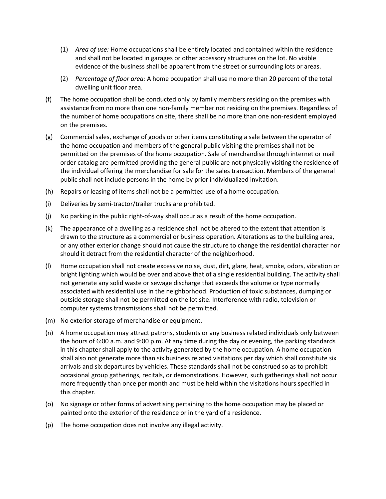- (1) *Area of use:* Home occupations shall be entirely located and contained within the residence and shall not be located in garages or other accessory structures on the lot. No visible evidence of the business shall be apparent from the street or surrounding lots or areas.
- (2) *Percentage of floor area:* A home occupation shall use no more than 20 percent of the total dwelling unit floor area.
- (f) The home occupation shall be conducted only by family members residing on the premises with assistance from no more than one non-family member not residing on the premises. Regardless of the number of home occupations on site, there shall be no more than one non-resident employed on the premises.
- (g) Commercial sales, exchange of goods or other items constituting a sale between the operator of the home occupation and members of the general public visiting the premises shall not be permitted on the premises of the home occupation. Sale of merchandise through internet or mail order catalog are permitted providing the general public are not physically visiting the residence of the individual offering the merchandise for sale for the sales transaction. Members of the general public shall not include persons in the home by prior individualized invitation.
- (h) Repairs or leasing of items shall not be a permitted use of a home occupation.
- (i) Deliveries by semi-tractor/trailer trucks are prohibited.
- (j) No parking in the public right-of-way shall occur as a result of the home occupation.
- (k) The appearance of a dwelling as a residence shall not be altered to the extent that attention is drawn to the structure as a commercial or business operation. Alterations as to the building area, or any other exterior change should not cause the structure to change the residential character nor should it detract from the residential character of the neighborhood.
- (l) Home occupation shall not create excessive noise, dust, dirt, glare, heat, smoke, odors, vibration or bright lighting which would be over and above that of a single residential building. The activity shall not generate any solid waste or sewage discharge that exceeds the volume or type normally associated with residential use in the neighborhood. Production of toxic substances, dumping or outside storage shall not be permitted on the lot site. Interference with radio, television or computer systems transmissions shall not be permitted.
- (m) No exterior storage of merchandise or equipment.
- (n) A home occupation may attract patrons, students or any business related individuals only between the hours of 6:00 a.m. and 9:00 p.m. At any time during the day or evening, the parking standards in this chapter shall apply to the activity generated by the home occupation. A home occupation shall also not generate more than six business related visitations per day which shall constitute six arrivals and six departures by vehicles. These standards shall not be construed so as to prohibit occasional group gatherings, recitals, or demonstrations. However, such gatherings shall not occur more frequently than once per month and must be held within the visitations hours specified in this chapter.
- (o) No signage or other forms of advertising pertaining to the home occupation may be placed or painted onto the exterior of the residence or in the yard of a residence.
- (p) The home occupation does not involve any illegal activity.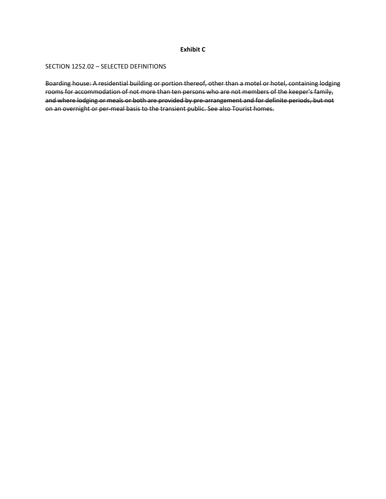### **Exhibit C**

#### SECTION 1252.02 – SELECTED DEFINITIONS

Boarding house: A residential building or portion thereof, other than a motel or hotel, containing lodging rooms for accommodation of not more than ten persons who are not members of the keeper's family, and where lodging or meals or both are provided by pre-arrangement and for definite periods, but not on an overnight or per-meal basis to the transient public. See also Tourist homes.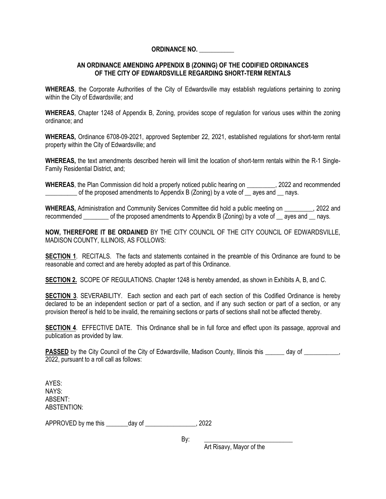# **ORDINANCE NO. \_\_\_\_\_\_\_\_\_\_\_**

# **AN ORDINANCE AMENDING APPENDIX B (ZONING) OF THE CODIFIED ORDINANCES OF THE CITY OF EDWARDSVILLE REGARDING SHORT-TERM RENTALS**

**WHEREAS**, the Corporate Authorities of the City of Edwardsville may establish regulations pertaining to zoning within the City of Edwardsville; and

**WHEREAS**, Chapter 1248 of Appendix B, Zoning, provides scope of regulation for various uses within the zoning ordinance; and

**WHEREAS,** Ordinance 6708-09-2021, approved September 22, 2021, established regulations for short-term rental property within the City of Edwardsville; and

**WHEREAS,** the text amendments described herein will limit the location of short-term rentals within the R-1 Single-Family Residential District, and;

**WHEREAS**, the Plan Commission did hold a properly noticed public hearing on \_\_\_\_\_\_\_\_\_, 2022 and recommended of the proposed amendments to Appendix B (Zoning) by a vote of  $\alpha$  ayes and  $\alpha$  nays.

**WHEREAS,** Administration and Community Services Committee did hold a public meeting on  $\qquad$ , 2022 and recommended of the proposed amendments to Appendix B (Zoning) by a vote of aves and nays.

**NOW, THEREFORE IT BE ORDAINED** BY THE CITY COUNCIL OF THE CITY COUNCIL OF EDWARDSVILLE, MADISON COUNTY, ILLINOIS, AS FOLLOWS:

**SECTION 1.** RECITALS. The facts and statements contained in the preamble of this Ordinance are found to be reasonable and correct and are hereby adopted as part of this Ordinance.

**SECTION 2.** SCOPE OF REGULATIONS. Chapter 1248 is hereby amended, as shown in Exhibits A, B, and C.

**SECTION 3**. SEVERABILITY. Each section and each part of each section of this Codified Ordinance is hereby declared to be an independent section or part of a section, and if any such section or part of a section, or any provision thereof is held to be invalid, the remaining sections or parts of sections shall not be affected thereby.

**SECTION 4.** EFFECTIVE DATE. This Ordinance shall be in full force and effect upon its passage, approval and publication as provided by law.

**PASSED** by the City Council of the City of Edwardsville, Madison County, Illinois this day of  $\cdot$ 2022, pursuant to a roll call as follows:

AYES: NAYS: ABSENT: ABSTENTION:

APPROVED by me this \_\_\_\_\_\_\_day of \_\_\_\_\_\_\_\_\_\_\_\_\_\_\_\_, 2022

By: \_\_\_\_\_\_\_\_\_\_\_\_\_\_\_\_\_\_\_\_\_\_\_\_\_\_\_\_

Art Risavy, Mayor of the